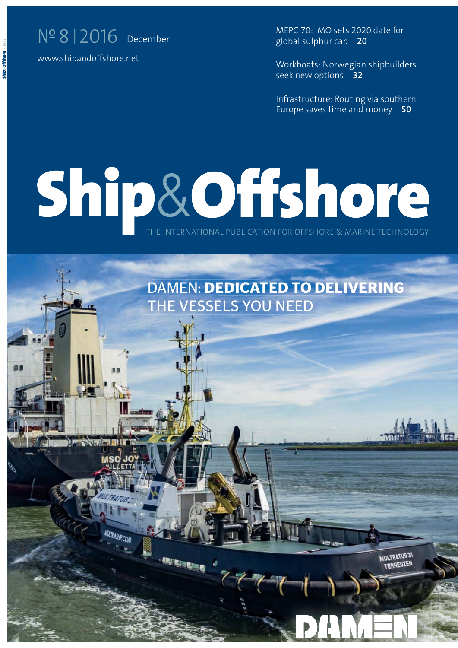## N<sup>o</sup> 8 2016 December

www.shipandoffshore.net

MEPC 70: IMO sets 2020 date for global sulphur cap **20** 

Workboats: Norwegian shipbuilders seek new options **32**

Infrastructure: Routing via southern Europe saves time and money **50**

## THE INTERNATIONAL PUBLICATION FOR OFFSHORE & MARINE TECHNOLOGY